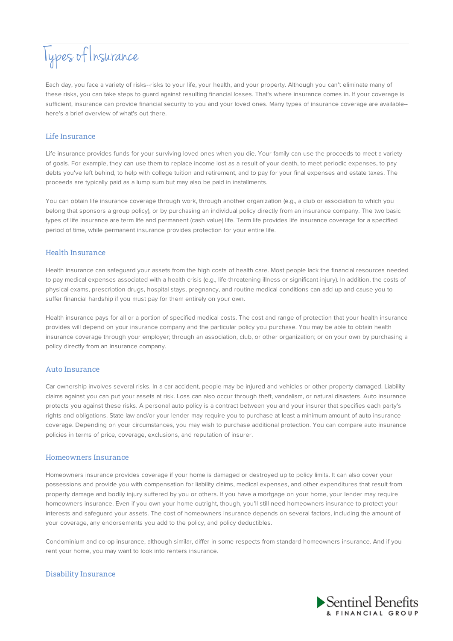# Types of Insurance

Each day, you face a variety of risks--risks to your life, your health, and your property. Although you can't eliminate many of these risks, you can take steps to guard against resulting financial losses. That's where insurance comes in. If your coverage is sufficient, insurance can provide financial security to you and your loved ones. Many types of insurance coverage are available- here's a brief overview of what's out there.

# Life Insurance

Life insurance provides funds for your surviving loved ones when you die. Your family can use the proceeds to meet a variety of goals. For example, they can use them to replace income lost as a result of your death, to meet periodic expenses, to pay debts you've left behind, to help with college tuition and retirement, and to pay for your final expenses and estate taxes. The proceeds are typically paid as a lump sum but may also be paid in installments.

You can obtain life insurance coverage through work, through another organization (e.g., a club or association to which you belong that sponsors a group policy), or by purchasing an individual policy directly from an insurance company. The two basic types of life insurance are term life and permanent (cash value) life. Term life provides life insurance coverage for a specified period of time, while permanent insurance provides protection for your entire life.

# Health Insurance

Health insurance can safeguard your assets from the high costs of health care. Most people lack the financial resources needed to pay medical expenses associated with a health crisis (e.g., life-threatening illness or significant injury). In addition, the costs of physical exams, prescription drugs, hospital stays, pregnancy, and routine medical conditions can add up and cause you to suffer financial hardship if you must pay for them entirely on your own.

Health insurance pays for all or a portion of specified medical costs. The cost and range of protection that your health insurance provides will depend on your insurance company and the particular policy you purchase. You may be able to obtain health insurance coverage through your employer; through an association, club, or other organization; or on your own by purchasing a policy directly from an insurance company.

## Auto Insurance

Car ownership involves several risks. In a car accident, people may be injured and vehicles or other property damaged. Liability claims against you can put your assets at risk. Loss can also occur through theft, vandalism, or natural disasters. Auto insurance protects you against these risks. A personal auto policy is a contract between you and your insurer that specifies each party's rights and obligations. State law and/or your lender may require you to purchase at least a minimum amount of auto insurance coverage. Depending on your circumstances, you may wish to purchase additional protection. You can compare auto insurance policies in terms of price, coverage, exclusions, and reputation of insurer.

#### Homeowners Insurance

Homeowners insurance provides coverage if your home is damaged or destroyed up to policy limits. It can also cover your possessions and provide you with compensation for liability claims, medical expenses, and other expenditures that result from property damage and bodily injury suffered by you or others. If you have a mortgage on your home, your lender may require homeowners insurance. Even if you own your home outright, though, you'll still need homeowners insurance to protect your interests and safeguard your assets. The cost of homeowners insurance depends on several factors, including the amount of your coverage, any endorsements you add to the policy, and policy deductibles.

Condominium and co-op insurance, although similar, differ in some respects from standard homeowners insurance. And if you rent your home, you may want to look into renters insurance.

# Disability Insurance

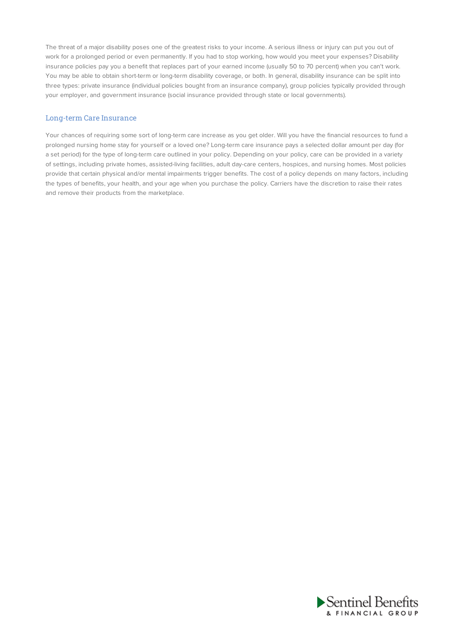The threat of a major disability poses one of the greatest risks to your income. A serious illness or injury can put you out of work for a prolonged period or even permanently. If you had to stop working, how would you meet your expenses? Disability insurance policies pay you a benefit that replaces part of your earned income (usually 50 to 70 percent) when you can't work. You may be able to obtain short-term or long-term disability coverage, or both. In general, disability insurance can be split into three types: private insurance (individual policies bought from an insurance company), group policies typically provided through your employer, and government insurance (social insurance provided through state or local governments).

## Long-term Care Insurance

Your chances of requiring some sort of long-term care increase as you get older. Will you have the financial resources to fund a prolonged nursing home stay for yourself or a loved one? Long-term care insurance pays a selected dollar amount per day (for a set period) for the type of long-term care outlined in your policy. Depending on your policy, care can be provided in a variety of settings, including private homes, assisted-living facilities, adult day-care centers, hospices, and nursing homes. Most policies provide that certain physical and/or mental impairments trigger benefits. The cost of a policy depends on many factors, including the types of benefits, your health, and your age when you purchase the policy. Carriers have the discretion to raise their rates and remove their products from the marketplace.